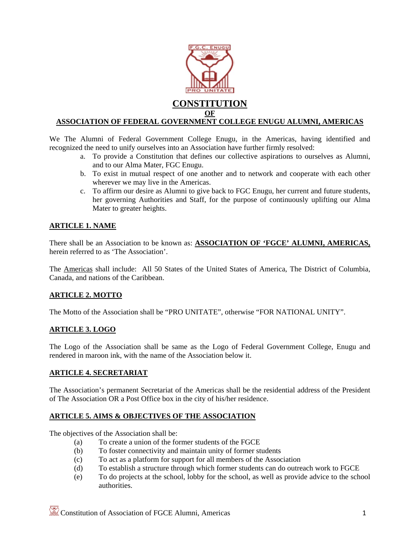

# **ASSOCIATION OF FEDERAL GOVERNMENT COLLEGE ENUGU ALUMNI, AMERICAS**

We The Alumni of Federal Government College Enugu, in the Americas, having identified and recognized the need to unify ourselves into an Association have further firmly resolved:

- a. To provide a Constitution that defines our collective aspirations to ourselves as Alumni, and to our Alma Mater, FGC Enugu.
- b. To exist in mutual respect of one another and to network and cooperate with each other wherever we may live in the Americas.
- c. To affirm our desire as Alumni to give back to FGC Enugu, her current and future students, her governing Authorities and Staff, for the purpose of continuously uplifting our Alma Mater to greater heights.

## **ARTICLE 1. NAME**

There shall be an Association to be known as: **ASSOCIATION OF 'FGCE' ALUMNI, AMERICAS,**  herein referred to as 'The Association'.

The Americas shall include: All 50 States of the United States of America, The District of Columbia, Canada, and nations of the Caribbean.

### **ARTICLE 2. MOTTO**

The Motto of the Association shall be "PRO UNITATE", otherwise "FOR NATIONAL UNITY".

### **ARTICLE 3. LOGO**

The Logo of the Association shall be same as the Logo of Federal Government College, Enugu and rendered in maroon ink, with the name of the Association below it.

### **ARTICLE 4. SECRETARIAT**

The Association's permanent Secretariat of the Americas shall be the residential address of the President of The Association OR a Post Office box in the city of his/her residence.

### **ARTICLE 5. AIMS & OBJECTIVES OF THE ASSOCIATION**

The objectives of the Association shall be:

- (a) To create a union of the former students of the FGCE
- (b) To foster connectivity and maintain unity of former students
- (c) To act as a platform for support for all members of the Association
- (d) To establish a structure through which former students can do outreach work to FGCE
- (e) To do projects at the school, lobby for the school, as well as provide advice to the school authorities.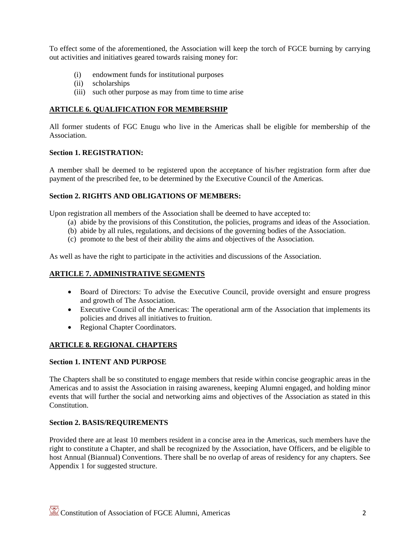To effect some of the aforementioned, the Association will keep the torch of FGCE burning by carrying out activities and initiatives geared towards raising money for:

- (i) endowment funds for institutional purposes
- (ii) scholarships
- (iii) such other purpose as may from time to time arise

# **ARTICLE 6. QUALIFICATION FOR MEMBERSHIP**

All former students of FGC Enugu who live in the Americas shall be eligible for membership of the Association.

### **Section 1. REGISTRATION:**

A member shall be deemed to be registered upon the acceptance of his/her registration form after due payment of the prescribed fee, to be determined by the Executive Council of the Americas.

## **Section 2. RIGHTS AND OBLIGATIONS OF MEMBERS:**

Upon registration all members of the Association shall be deemed to have accepted to:

- (a) abide by the provisions of this Constitution, the policies, programs and ideas of the Association.
- (b) abide by all rules, regulations, and decisions of the governing bodies of the Association.
- (c) promote to the best of their ability the aims and objectives of the Association.

As well as have the right to participate in the activities and discussions of the Association.

## **ARTICLE 7. ADMINISTRATIVE SEGMENTS**

- Board of Directors: To advise the Executive Council, provide oversight and ensure progress and growth of The Association.
- Executive Council of the Americas: The operational arm of the Association that implements its policies and drives all initiatives to fruition.
- Regional Chapter Coordinators.

# **ARTICLE 8. REGIONAL CHAPTERS**

### **Section 1. INTENT AND PURPOSE**

The Chapters shall be so constituted to engage members that reside within concise geographic areas in the Americas and to assist the Association in raising awareness, keeping Alumni engaged, and holding minor events that will further the social and networking aims and objectives of the Association as stated in this Constitution.

### **Section 2. BASIS/REQUIREMENTS**

Provided there are at least 10 members resident in a concise area in the Americas, such members have the right to constitute a Chapter, and shall be recognized by the Association, have Officers, and be eligible to host Annual (Biannual) Conventions. There shall be no overlap of areas of residency for any chapters. See Appendix 1 for suggested structure.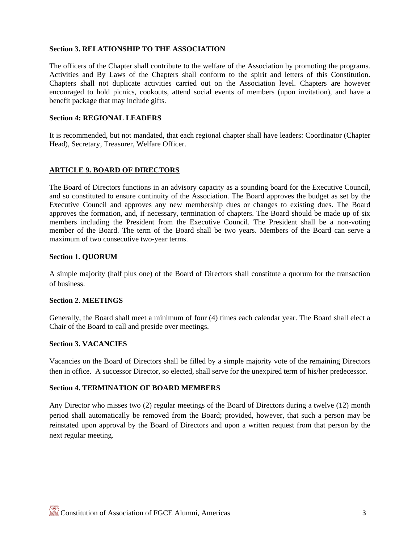## **Section 3. RELATIONSHIP TO THE ASSOCIATION**

The officers of the Chapter shall contribute to the welfare of the Association by promoting the programs. Activities and By Laws of the Chapters shall conform to the spirit and letters of this Constitution. Chapters shall not duplicate activities carried out on the Association level. Chapters are however encouraged to hold picnics, cookouts, attend social events of members (upon invitation), and have a benefit package that may include gifts.

#### **Section 4: REGIONAL LEADERS**

It is recommended, but not mandated, that each regional chapter shall have leaders: Coordinator (Chapter Head), Secretary, Treasurer, Welfare Officer.

### **ARTICLE 9. BOARD OF DIRECTORS**

The Board of Directors functions in an advisory capacity as a sounding board for the Executive Council, and so constituted to ensure continuity of the Association. The Board approves the budget as set by the Executive Council and approves any new membership dues or changes to existing dues. The Board approves the formation, and, if necessary, termination of chapters. The Board should be made up of six members including the President from the Executive Council. The President shall be a non-voting member of the Board. The term of the Board shall be two years. Members of the Board can serve a maximum of two consecutive two-year terms.

#### **Section 1. QUORUM**

A simple majority (half plus one) of the Board of Directors shall constitute a quorum for the transaction of business.

### **Section 2. MEETINGS**

Generally, the Board shall meet a minimum of four (4) times each calendar year. The Board shall elect a Chair of the Board to call and preside over meetings.

### **Section 3. VACANCIES**

Vacancies on the Board of Directors shall be filled by a simple majority vote of the remaining Directors then in office. A successor Director, so elected, shall serve for the unexpired term of his/her predecessor.

## **Section 4. TERMINATION OF BOARD MEMBERS**

Any Director who misses two (2) regular meetings of the Board of Directors during a twelve (12) month period shall automatically be removed from the Board; provided, however, that such a person may be reinstated upon approval by the Board of Directors and upon a written request from that person by the next regular meeting.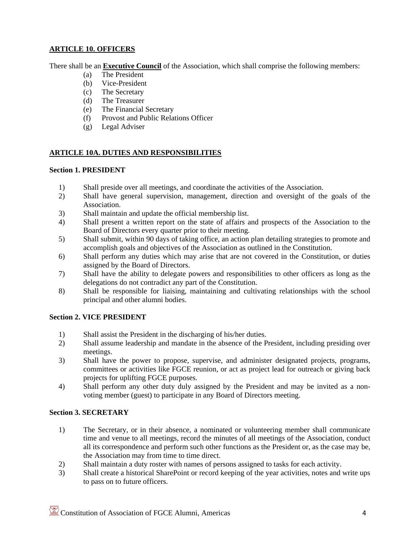# **ARTICLE 10. OFFICERS**

There shall be an **Executive Council** of the Association, which shall comprise the following members:

- (a) The President
- (b) Vice-President
- (c) The Secretary
- (d) The Treasurer
- (e) The Financial Secretary
- (f) Provost and Public Relations Officer
- (g) Legal Adviser

# **ARTICLE 10A. DUTIES AND RESPONSIBILITIES**

### **Section 1. PRESIDENT**

- 1) Shall preside over all meetings, and coordinate the activities of the Association.
- 2) Shall have general supervision, management, direction and oversight of the goals of the Association.
- 3) Shall maintain and update the official membership list.
- 4) Shall present a written report on the state of affairs and prospects of the Association to the Board of Directors every quarter prior to their meeting.
- 5) Shall submit, within 90 days of taking office, an action plan detailing strategies to promote and accomplish goals and objectives of the Association as outlined in the Constitution.
- 6) Shall perform any duties which may arise that are not covered in the Constitution, or duties assigned by the Board of Directors.
- 7) Shall have the ability to delegate powers and responsibilities to other officers as long as the delegations do not contradict any part of the Constitution.
- 8) Shall be responsible for liaising, maintaining and cultivating relationships with the school principal and other alumni bodies.

### **Section 2. VICE PRESIDENT**

- 1) Shall assist the President in the discharging of his/her duties.
- 2) Shall assume leadership and mandate in the absence of the President, including presiding over meetings.
- 3) Shall have the power to propose, supervise, and administer designated projects, programs, committees or activities like FGCE reunion, or act as project lead for outreach or giving back projects for uplifting FGCE purposes.
- 4) Shall perform any other duty duly assigned by the President and may be invited as a nonvoting member (guest) to participate in any Board of Directors meeting.

### **Section 3. SECRETARY**

- 1) The Secretary, or in their absence, a nominated or volunteering member shall communicate time and venue to all meetings, record the minutes of all meetings of the Association, conduct all its correspondence and perform such other functions as the President or, as the case may be, the Association may from time to time direct.
- 2) Shall maintain a duty roster with names of persons assigned to tasks for each activity.
- 3) Shall create a historical SharePoint or record keeping of the year activities, notes and write ups to pass on to future officers.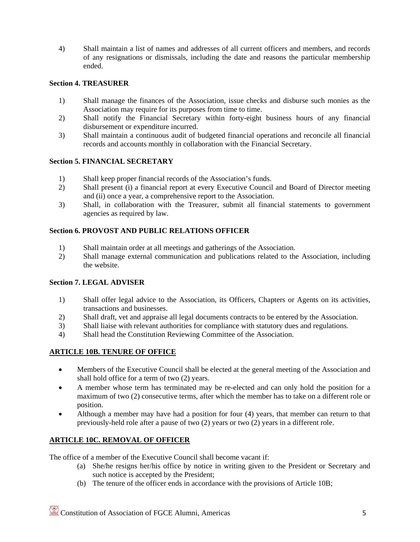4) Shall maintain a list of names and addresses of all current officers and members, and records of any resignations or dismissals, including the date and reasons the particular membership ended.

# **Section 4. TREASURER**

- 1) Shall manage the finances of the Association, issue checks and disburse such monies as the Association may require for its purposes from time to time.
- 2) Shall notify the Financial Secretary within forty-eight business hours of any financial disbursement or expenditure incurred.
- 3) Shall maintain a continuous audit of budgeted financial operations and reconcile all financial records and accounts monthly in collaboration with the Financial Secretary.

### **Section 5. FINANCIAL SECRETARY**

- 1) Shall keep proper financial records of the Association's funds.
- 2) Shall present (i) a financial report at every Executive Council and Board of Director meeting and (ii) once a year, a comprehensive report to the Association.
- 3) Shall, in collaboration with the Treasurer, submit all financial statements to government agencies as required by law.

# **Section 6. PROVOST AND PUBLIC RELATIONS OFFICER**

- 1) Shall maintain order at all meetings and gatherings of the Association.
- 2) Shall manage external communication and publications related to the Association, including the website.

### **Section 7. LEGAL ADVISER**

- 1) Shall offer legal advice to the Association, its Officers, Chapters or Agents on its activities, transactions and businesses.
- 2) Shall draft, vet and appraise all legal documents contracts to be entered by the Association.
- 3) Shall liaise with relevant authorities for compliance with statutory dues and regulations.
- 4) Shall head the Constitution Reviewing Committee of the Association.

# **ARTICLE 10B. TENURE OF OFFICE**

- Members of the Executive Council shall be elected at the general meeting of the Association and shall hold office for a term of two (2) years.
- A member whose term has terminated may be re-elected and can only hold the position for a maximum of two (2) consecutive terms, after which the member has to take on a different role or position.
- Although a member may have had a position for four (4) years, that member can return to that previously-held role after a pause of two (2) years or two (2) years in a different role.

# **ARTICLE 10C. REMOVAL OF OFFICER**

The office of a member of the Executive Council shall become vacant if:

- (a) She/he resigns her/his office by notice in writing given to the President or Secretary and such notice is accepted by the President;
- (b) The tenure of the officer ends in accordance with the provisions of Article 10B;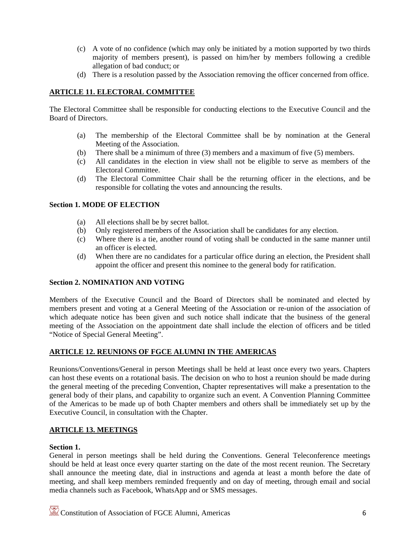- (c) A vote of no confidence (which may only be initiated by a motion supported by two thirds majority of members present), is passed on him/her by members following a credible allegation of bad conduct; or
- (d) There is a resolution passed by the Association removing the officer concerned from office.

# **ARTICLE 11. ELECTORAL COMMITTEE**

The Electoral Committee shall be responsible for conducting elections to the Executive Council and the Board of Directors.

- (a) The membership of the Electoral Committee shall be by nomination at the General Meeting of the Association.
- (b) There shall be a minimum of three (3) members and a maximum of five (5) members.
- (c) All candidates in the election in view shall not be eligible to serve as members of the Electoral Committee.
- (d) The Electoral Committee Chair shall be the returning officer in the elections, and be responsible for collating the votes and announcing the results.

## **Section 1. MODE OF ELECTION**

- (a) All elections shall be by secret ballot.
- (b) Only registered members of the Association shall be candidates for any election.
- (c) Where there is a tie, another round of voting shall be conducted in the same manner until an officer is elected.
- (d) When there are no candidates for a particular office during an election, the President shall appoint the officer and present this nominee to the general body for ratification.

# **Section 2. NOMINATION AND VOTING**

Members of the Executive Council and the Board of Directors shall be nominated and elected by members present and voting at a General Meeting of the Association or re-union of the association of which adequate notice has been given and such notice shall indicate that the business of the general meeting of the Association on the appointment date shall include the election of officers and be titled "Notice of Special General Meeting".

# **ARTICLE 12. REUNIONS OF FGCE ALUMNI IN THE AMERICAS**

Reunions/Conventions/General in person Meetings shall be held at least once every two years. Chapters can host these events on a rotational basis. The decision on who to host a reunion should be made during the general meeting of the preceding Convention, Chapter representatives will make a presentation to the general body of their plans, and capability to organize such an event. A Convention Planning Committee of the Americas to be made up of both Chapter members and others shall be immediately set up by the Executive Council, in consultation with the Chapter.

### **ARTICLE 13. MEETINGS**

### **Section 1.**

General in person meetings shall be held during the Conventions. General Teleconference meetings should be held at least once every quarter starting on the date of the most recent reunion. The Secretary shall announce the meeting date, dial in instructions and agenda at least a month before the date of meeting, and shall keep members reminded frequently and on day of meeting, through email and social media channels such as Facebook, WhatsApp and or SMS messages.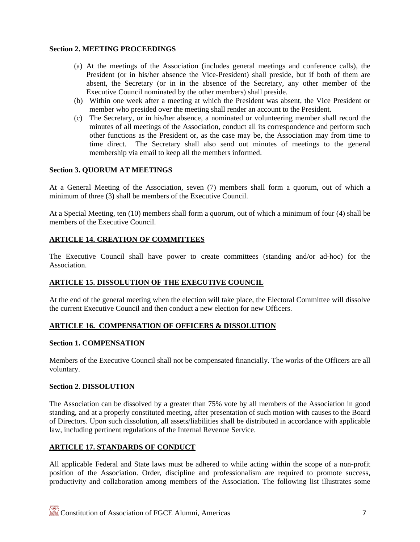## **Section 2. MEETING PROCEEDINGS**

- (a) At the meetings of the Association (includes general meetings and conference calls), the President (or in his/her absence the Vice-President) shall preside, but if both of them are absent, the Secretary (or in in the absence of the Secretary, any other member of the Executive Council nominated by the other members) shall preside.
- (b) Within one week after a meeting at which the President was absent, the Vice President or member who presided over the meeting shall render an account to the President.
- (c) The Secretary, or in his/her absence, a nominated or volunteering member shall record the minutes of all meetings of the Association, conduct all its correspondence and perform such other functions as the President or, as the case may be, the Association may from time to time direct. The Secretary shall also send out minutes of meetings to the general membership via email to keep all the members informed.

## **Section 3. QUORUM AT MEETINGS**

At a General Meeting of the Association, seven (7) members shall form a quorum, out of which a minimum of three (3) shall be members of the Executive Council.

At a Special Meeting, ten (10) members shall form a quorum, out of which a minimum of four (4) shall be members of the Executive Council.

## **ARTICLE 14. CREATION OF COMMITTEES**

The Executive Council shall have power to create committees (standing and/or ad-hoc) for the Association.

### **ARTICLE 15. DISSOLUTION OF THE EXECUTIVE COUNCIL**

At the end of the general meeting when the election will take place, the Electoral Committee will dissolve the current Executive Council and then conduct a new election for new Officers.

### **ARTICLE 16. COMPENSATION OF OFFICERS & DISSOLUTION**

### **Section 1. COMPENSATION**

Members of the Executive Council shall not be compensated financially. The works of the Officers are all voluntary.

#### **Section 2. DISSOLUTION**

The Association can be dissolved by a greater than 75% vote by all members of the Association in good standing, and at a properly constituted meeting, after presentation of such motion with causes to the Board of Directors. Upon such dissolution, all assets/liabilities shall be distributed in accordance with applicable law, including pertinent regulations of the Internal Revenue Service.

## **ARTICLE 17. STANDARDS OF CONDUCT**

All applicable Federal and State laws must be adhered to while acting within the scope of a non-profit position of the Association. Order, discipline and professionalism are required to promote success, productivity and collaboration among members of the Association. The following list illustrates some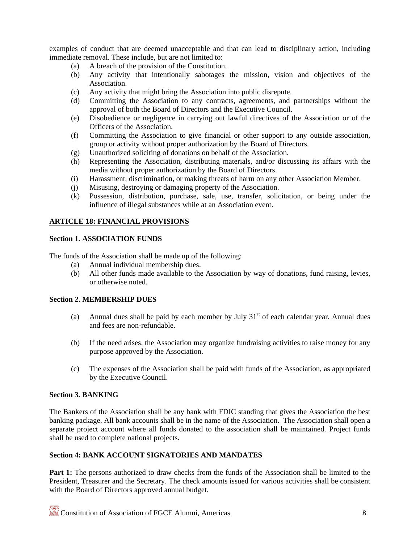examples of conduct that are deemed unacceptable and that can lead to disciplinary action, including immediate removal. These include, but are not limited to:

- (a) A breach of the provision of the Constitution.
- (b) Any activity that intentionally sabotages the mission, vision and objectives of the Association.
- (c) Any activity that might bring the Association into public disrepute.
- (d) Committing the Association to any contracts, agreements, and partnerships without the approval of both the Board of Directors and the Executive Council.
- (e) Disobedience or negligence in carrying out lawful directives of the Association or of the Officers of the Association.
- (f) Committing the Association to give financial or other support to any outside association, group or activity without proper authorization by the Board of Directors.
- (g) Unauthorized soliciting of donations on behalf of the Association.
- (h) Representing the Association, distributing materials, and/or discussing its affairs with the media without proper authorization by the Board of Directors.
- (i) Harassment, discrimination, or making threats of harm on any other Association Member.
- (j) Misusing, destroying or damaging property of the Association.
- (k) Possession, distribution, purchase, sale, use, transfer, solicitation, or being under the influence of illegal substances while at an Association event.

#### **ARTICLE 18: FINANCIAL PROVISIONS**

#### **Section 1. ASSOCIATION FUNDS**

The funds of the Association shall be made up of the following:

- (a) Annual individual membership dues.
- (b) All other funds made available to the Association by way of donations, fund raising, levies, or otherwise noted.

#### **Section 2. MEMBERSHIP DUES**

- (a) Annual dues shall be paid by each member by July  $31<sup>st</sup>$  of each calendar year. Annual dues and fees are non-refundable.
- (b) If the need arises, the Association may organize fundraising activities to raise money for any purpose approved by the Association.
- (c) The expenses of the Association shall be paid with funds of the Association, as appropriated by the Executive Council.

#### **Section 3. BANKING**

The Bankers of the Association shall be any bank with FDIC standing that gives the Association the best banking package. All bank accounts shall be in the name of the Association. The Association shall open a separate project account where all funds donated to the association shall be maintained. Project funds shall be used to complete national projects.

### **Section 4: BANK ACCOUNT SIGNATORIES AND MANDATES**

**Part 1:** The persons authorized to draw checks from the funds of the Association shall be limited to the President, Treasurer and the Secretary. The check amounts issued for various activities shall be consistent with the Board of Directors approved annual budget.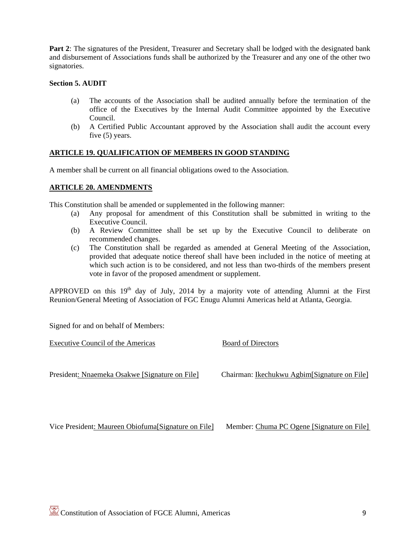Part 2: The signatures of the President, Treasurer and Secretary shall be lodged with the designated bank and disbursement of Associations funds shall be authorized by the Treasurer and any one of the other two signatories.

### **Section 5. AUDIT**

- (a) The accounts of the Association shall be audited annually before the termination of the office of the Executives by the Internal Audit Committee appointed by the Executive Council.
- (b) A Certified Public Accountant approved by the Association shall audit the account every five (5) years.

## **ARTICLE 19. QUALIFICATION OF MEMBERS IN GOOD STANDING**

A member shall be current on all financial obligations owed to the Association.

### **ARTICLE 20. AMENDMENTS**

This Constitution shall be amended or supplemented in the following manner:

- (a) Any proposal for amendment of this Constitution shall be submitted in writing to the Executive Council.
- (b) A Review Committee shall be set up by the Executive Council to deliberate on recommended changes.
- (c) The Constitution shall be regarded as amended at General Meeting of the Association, provided that adequate notice thereof shall have been included in the notice of meeting at which such action is to be considered, and not less than two-thirds of the members present vote in favor of the proposed amendment or supplement.

APPROVED on this  $19<sup>th</sup>$  day of July, 2014 by a majority vote of attending Alumni at the First Reunion/General Meeting of Association of FGC Enugu Alumni Americas held at Atlanta, Georgia.

Signed for and on behalf of Members:

| Executive Council of the Americas                  | <b>Board of Directors</b>                    |
|----------------------------------------------------|----------------------------------------------|
| President: Nnaemeka Osakwe [Signature on File]     | Chairman: Ikechukwu Agbim[Signature on File] |
| Vice President: Maureen Obiofuma Signature on File | Member: Chuma PC Ogene [Signature on File]   |